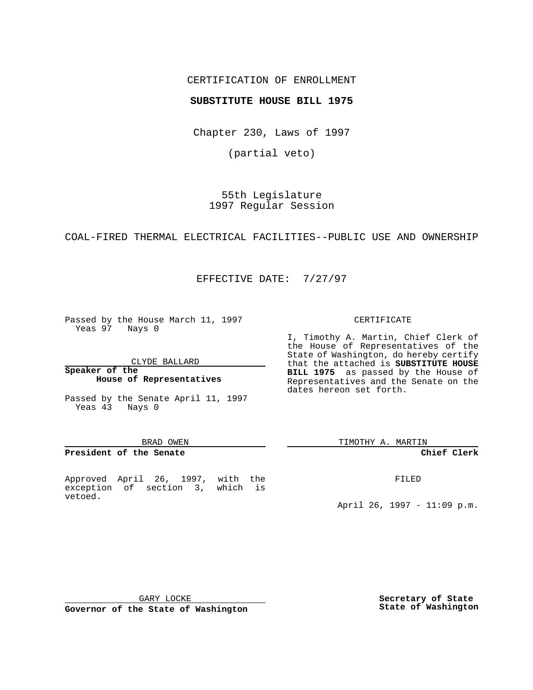# CERTIFICATION OF ENROLLMENT

# **SUBSTITUTE HOUSE BILL 1975**

Chapter 230, Laws of 1997

(partial veto)

55th Legislature 1997 Regular Session

COAL-FIRED THERMAL ELECTRICAL FACILITIES--PUBLIC USE AND OWNERSHIP

EFFECTIVE DATE: 7/27/97

Passed by the House March 11, 1997 Yeas 97 Nays 0

CLYDE BALLARD

**Speaker of the House of Representatives**

Passed by the Senate April 11, 1997 Yeas 43 Nays 0

#### BRAD OWEN

## **President of the Senate**

Approved April 26, 1997, with the exception of section 3, which is vetoed.

### CERTIFICATE

I, Timothy A. Martin, Chief Clerk of the House of Representatives of the State of Washington, do hereby certify that the attached is **SUBSTITUTE HOUSE BILL 1975** as passed by the House of Representatives and the Senate on the dates hereon set forth.

TIMOTHY A. MARTIN

## **Chief Clerk**

FILED

April 26, 1997 - 11:09 p.m.

GARY LOCKE

**Governor of the State of Washington**

**Secretary of State State of Washington**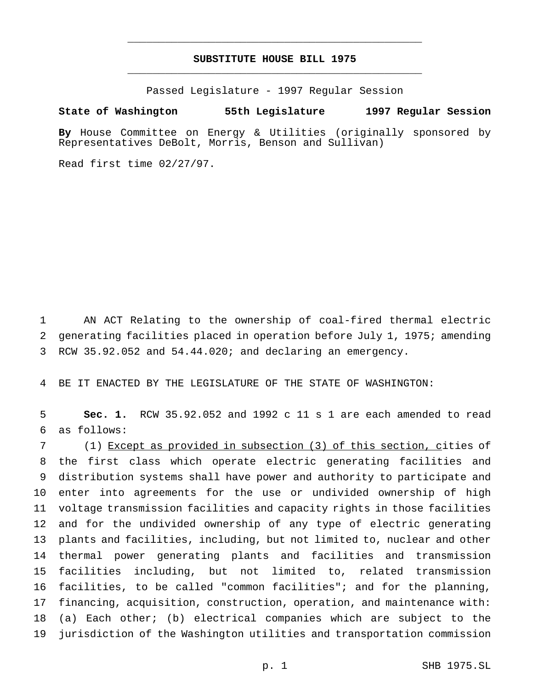# **SUBSTITUTE HOUSE BILL 1975** \_\_\_\_\_\_\_\_\_\_\_\_\_\_\_\_\_\_\_\_\_\_\_\_\_\_\_\_\_\_\_\_\_\_\_\_\_\_\_\_\_\_\_\_\_\_\_

\_\_\_\_\_\_\_\_\_\_\_\_\_\_\_\_\_\_\_\_\_\_\_\_\_\_\_\_\_\_\_\_\_\_\_\_\_\_\_\_\_\_\_\_\_\_\_

Passed Legislature - 1997 Regular Session

#### **State of Washington 55th Legislature 1997 Regular Session**

**By** House Committee on Energy & Utilities (originally sponsored by Representatives DeBolt, Morris, Benson and Sullivan)

Read first time 02/27/97.

 AN ACT Relating to the ownership of coal-fired thermal electric generating facilities placed in operation before July 1, 1975; amending RCW 35.92.052 and 54.44.020; and declaring an emergency.

BE IT ENACTED BY THE LEGISLATURE OF THE STATE OF WASHINGTON:

 **Sec. 1.** RCW 35.92.052 and 1992 c 11 s 1 are each amended to read as follows:

 (1) Except as provided in subsection (3) of this section, cities of the first class which operate electric generating facilities and distribution systems shall have power and authority to participate and enter into agreements for the use or undivided ownership of high voltage transmission facilities and capacity rights in those facilities and for the undivided ownership of any type of electric generating plants and facilities, including, but not limited to, nuclear and other thermal power generating plants and facilities and transmission facilities including, but not limited to, related transmission facilities, to be called "common facilities"; and for the planning, financing, acquisition, construction, operation, and maintenance with: (a) Each other; (b) electrical companies which are subject to the jurisdiction of the Washington utilities and transportation commission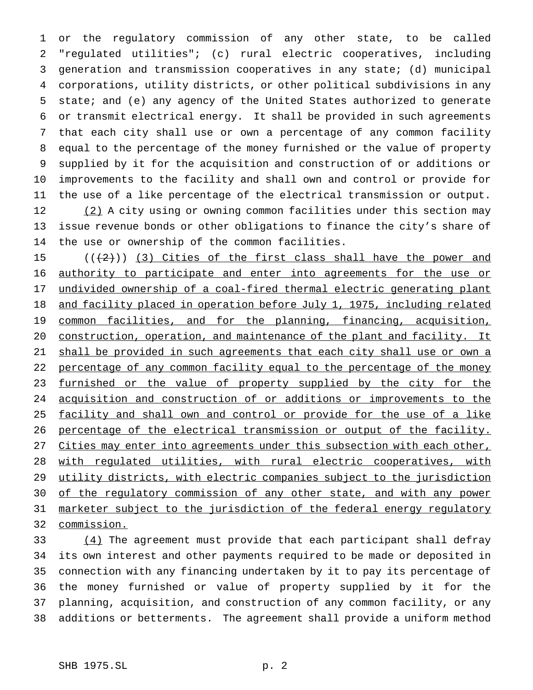or the regulatory commission of any other state, to be called "regulated utilities"; (c) rural electric cooperatives, including generation and transmission cooperatives in any state; (d) municipal corporations, utility districts, or other political subdivisions in any state; and (e) any agency of the United States authorized to generate or transmit electrical energy. It shall be provided in such agreements that each city shall use or own a percentage of any common facility equal to the percentage of the money furnished or the value of property supplied by it for the acquisition and construction of or additions or improvements to the facility and shall own and control or provide for the use of a like percentage of the electrical transmission or output. (2) A city using or owning common facilities under this section may issue revenue bonds or other obligations to finance the city's share of the use or ownership of the common facilities.

15  $((+2))$  (3) Cities of the first class shall have the power and authority to participate and enter into agreements for the use or undivided ownership of a coal-fired thermal electric generating plant 18 and facility placed in operation before July 1, 1975, including related common facilities, and for the planning, financing, acquisition, 20 construction, operation, and maintenance of the plant and facility. It 21 shall be provided in such agreements that each city shall use or own a 22 percentage of any common facility equal to the percentage of the money 23 furnished or the value of property supplied by the city for the acquisition and construction of or additions or improvements to the 25 facility and shall own and control or provide for the use of a like percentage of the electrical transmission or output of the facility. 27 Cities may enter into agreements under this subsection with each other, with regulated utilities, with rural electric cooperatives, with utility districts, with electric companies subject to the jurisdiction 30 of the regulatory commission of any other state, and with any power 31 marketer subject to the jurisdiction of the federal energy regulatory commission.

33 (4) The agreement must provide that each participant shall defray its own interest and other payments required to be made or deposited in connection with any financing undertaken by it to pay its percentage of the money furnished or value of property supplied by it for the planning, acquisition, and construction of any common facility, or any additions or betterments. The agreement shall provide a uniform method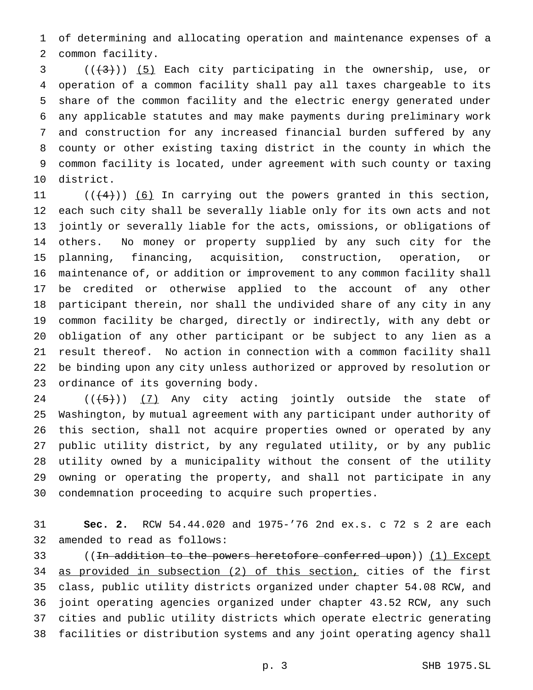of determining and allocating operation and maintenance expenses of a common facility.

  $((+3))$   $(5)$  Each city participating in the ownership, use, or operation of a common facility shall pay all taxes chargeable to its share of the common facility and the electric energy generated under any applicable statutes and may make payments during preliminary work and construction for any increased financial burden suffered by any county or other existing taxing district in the county in which the common facility is located, under agreement with such county or taxing district.

 $((+4))$  (6) In carrying out the powers granted in this section, each such city shall be severally liable only for its own acts and not jointly or severally liable for the acts, omissions, or obligations of others. No money or property supplied by any such city for the planning, financing, acquisition, construction, operation, or maintenance of, or addition or improvement to any common facility shall be credited or otherwise applied to the account of any other participant therein, nor shall the undivided share of any city in any common facility be charged, directly or indirectly, with any debt or obligation of any other participant or be subject to any lien as a result thereof. No action in connection with a common facility shall be binding upon any city unless authorized or approved by resolution or ordinance of its governing body.

  $((+5))$   $(7)$  Any city acting jointly outside the state of Washington, by mutual agreement with any participant under authority of this section, shall not acquire properties owned or operated by any public utility district, by any regulated utility, or by any public utility owned by a municipality without the consent of the utility owning or operating the property, and shall not participate in any condemnation proceeding to acquire such properties.

 **Sec. 2.** RCW 54.44.020 and 1975-'76 2nd ex.s. c 72 s 2 are each amended to read as follows:

33 ((In addition to the powers heretofore conferred upon)) (1) Except as provided in subsection (2) of this section, cities of the first class, public utility districts organized under chapter 54.08 RCW, and joint operating agencies organized under chapter 43.52 RCW, any such cities and public utility districts which operate electric generating facilities or distribution systems and any joint operating agency shall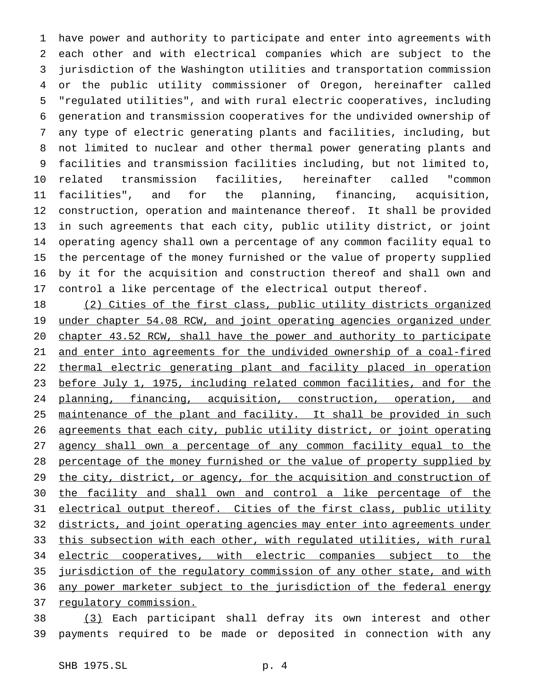have power and authority to participate and enter into agreements with each other and with electrical companies which are subject to the jurisdiction of the Washington utilities and transportation commission or the public utility commissioner of Oregon, hereinafter called "regulated utilities", and with rural electric cooperatives, including generation and transmission cooperatives for the undivided ownership of any type of electric generating plants and facilities, including, but not limited to nuclear and other thermal power generating plants and facilities and transmission facilities including, but not limited to, related transmission facilities, hereinafter called "common facilities", and for the planning, financing, acquisition, construction, operation and maintenance thereof. It shall be provided in such agreements that each city, public utility district, or joint operating agency shall own a percentage of any common facility equal to the percentage of the money furnished or the value of property supplied by it for the acquisition and construction thereof and shall own and control a like percentage of the electrical output thereof.

 (2) Cities of the first class, public utility districts organized under chapter 54.08 RCW, and joint operating agencies organized under chapter 43.52 RCW, shall have the power and authority to participate and enter into agreements for the undivided ownership of a coal-fired thermal electric generating plant and facility placed in operation before July 1, 1975, including related common facilities, and for the 24 planning, financing, acquisition, construction, operation, and 25 maintenance of the plant and facility. It shall be provided in such agreements that each city, public utility district, or joint operating 27 agency shall own a percentage of any common facility equal to the 28 percentage of the money furnished or the value of property supplied by 29 the city, district, or agency, for the acquisition and construction of the facility and shall own and control a like percentage of the 31 electrical output thereof. Cities of the first class, public utility 32 districts, and joint operating agencies may enter into agreements under this subsection with each other, with regulated utilities, with rural 34 electric cooperatives, with electric companies subject to the jurisdiction of the regulatory commission of any other state, and with any power marketer subject to the jurisdiction of the federal energy 37 regulatory commission.

 (3) Each participant shall defray its own interest and other payments required to be made or deposited in connection with any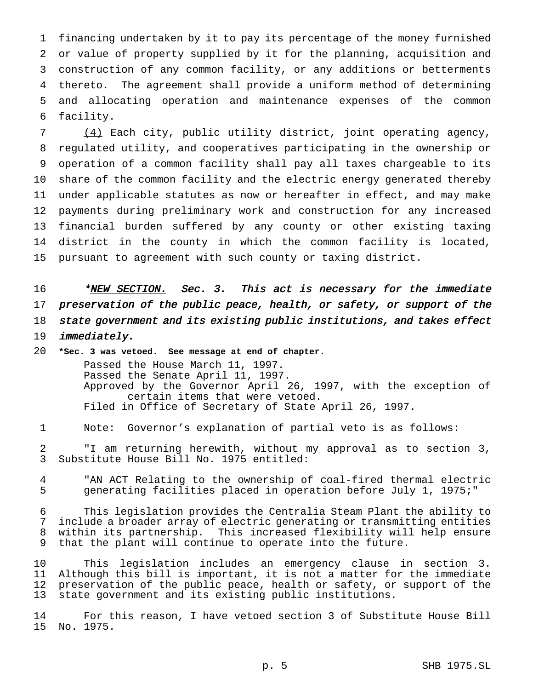financing undertaken by it to pay its percentage of the money furnished or value of property supplied by it for the planning, acquisition and construction of any common facility, or any additions or betterments thereto. The agreement shall provide a uniform method of determining and allocating operation and maintenance expenses of the common facility.

 (4) Each city, public utility district, joint operating agency, regulated utility, and cooperatives participating in the ownership or operation of a common facility shall pay all taxes chargeable to its share of the common facility and the electric energy generated thereby under applicable statutes as now or hereafter in effect, and may make payments during preliminary work and construction for any increased financial burden suffered by any county or other existing taxing district in the county in which the common facility is located, pursuant to agreement with such county or taxing district.

16 \*NEW SECTION. Sec. 3. This act is necessary for the immediate preservation of the public peace, health, or safety, or support of the state government and its existing public institutions, and takes effect *immediately*.

 **\*Sec. 3 was vetoed. See message at end of chapter.** Passed the House March 11, 1997. Passed the Senate April 11, 1997. Approved by the Governor April 26, 1997, with the exception of certain items that were vetoed. Filed in Office of Secretary of State April 26, 1997.

Note: Governor's explanation of partial veto is as follows:

 "I am returning herewith, without my approval as to section 3, Substitute House Bill No. 1975 entitled:

 "AN ACT Relating to the ownership of coal-fired thermal electric generating facilities placed in operation before July 1, 1975;"

 This legislation provides the Centralia Steam Plant the ability to include a broader array of electric generating or transmitting entities within its partnership. This increased flexibility will help ensure that the plant will continue to operate into the future.

 This legislation includes an emergency clause in section 3. Although this bill is important, it is not a matter for the immediate preservation of the public peace, health or safety, or support of the state government and its existing public institutions.

 For this reason, I have vetoed section 3 of Substitute House Bill No. 1975.